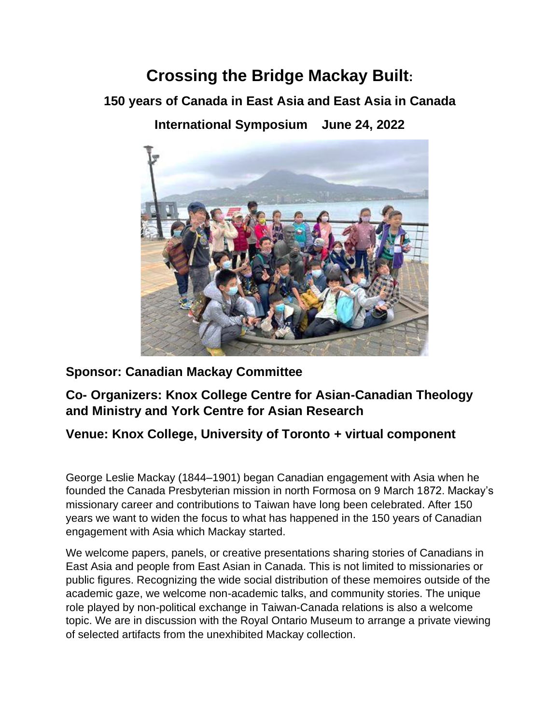## **Crossing the Bridge Mackay Built:**

**150 years of Canada in East Asia and East Asia in Canada**

**International Symposium June 24, 2022**



## **Sponsor: Canadian Mackay Committee**

**Co- Organizers: Knox College Centre for Asian-Canadian Theology and Ministry and York Centre for Asian Research** 

## **Venue: Knox College, University of Toronto + virtual component**

George Leslie Mackay (1844–1901) began Canadian engagement with Asia when he founded the Canada Presbyterian mission in north Formosa on 9 March 1872. Mackay's missionary career and contributions to Taiwan have long been celebrated. After 150 years we want to widen the focus to what has happened in the 150 years of Canadian engagement with Asia which Mackay started.

We welcome papers, panels, or creative presentations sharing stories of Canadians in East Asia and people from East Asian in Canada. This is not limited to missionaries or public figures. Recognizing the wide social distribution of these memoires outside of the academic gaze, we welcome non-academic talks, and community stories. The unique role played by non-political exchange in Taiwan-Canada relations is also a welcome topic. We are in discussion with the Royal Ontario Museum to arrange a private viewing of selected artifacts from the unexhibited Mackay collection.